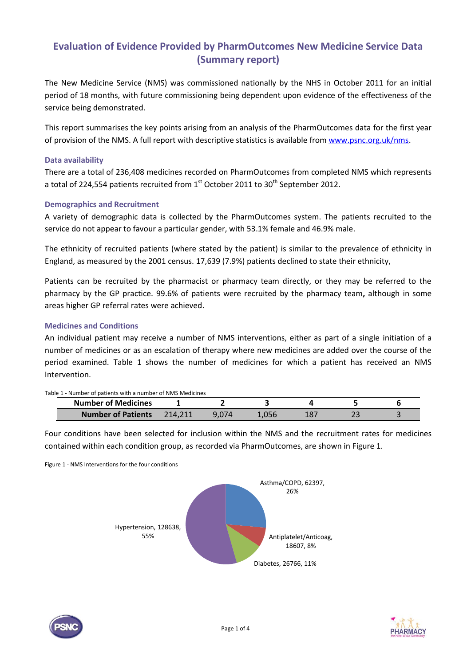# **Evaluation of Evidence Provided by PharmOutcomes New Medicine Service Data (Summary report)**

The New Medicine Service (NMS) was commissioned nationally by the NHS in October 2011 for an initial period of 18 months, with future commissioning being dependent upon evidence of the effectiveness of the service being demonstrated.

This report summarises the key points arising from an analysis of the PharmOutcomes data for the first year of provision of the NMS. A full report with descriptive statistics is available fro[m www.psnc.org.uk/nms.](http://www.psnc.org.uk/nms)

### **Data availability**

There are a total of 236,408 medicines recorded on PharmOutcomes from completed NMS which represents a total of 224,554 patients recruited from  $1<sup>st</sup>$  October 2011 to 30<sup>th</sup> September 2012.

## **Demographics and Recruitment**

A variety of demographic data is collected by the PharmOutcomes system. The patients recruited to the service do not appear to favour a particular gender, with 53.1% female and 46.9% male.

The ethnicity of recruited patients (where stated by the patient) is similar to the prevalence of ethnicity in England, as measured by the 2001 census. 17,639 (7.9%) patients declined to state their ethnicity,

Patients can be recruited by the pharmacist or pharmacy team directly, or they may be referred to the pharmacy by the GP practice. 99.6% of patients were recruited by the pharmacy team**,** although in some areas higher GP referral rates were achieved.

## **Medicines and Conditions**

An individual patient may receive a number of NMS interventions, either as part of a single initiation of a number of medicines or as an escalation of therapy where new medicines are added over the course of the period examined. Table 1 shows the number of medicines for which a patient has received an NMS Intervention.

#### Table 1 - Number of patients with a number of NMS Medicines

| <u>ivic 1 - Ivaliliver of patients with a humber of Ivivis Medicines</u><br><b>Number of Medicines</b> |         |       |  |  |
|--------------------------------------------------------------------------------------------------------|---------|-------|--|--|
| <b>Number of Patients</b>                                                                              | 214.211 | 1.056 |  |  |

Four conditions have been selected for inclusion within the NMS and the recruitment rates for medicines contained within each condition group, as recorded via PharmOutcomes, are shown in Figure 1.

Figure 1 - NMS Interventions for the four conditions





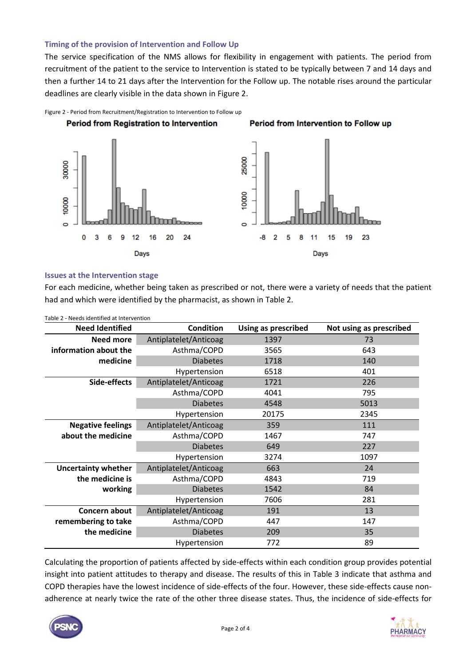### **Timing of the provision of Intervention and Follow Up**

The service specification of the NMS allows for flexibility in engagement with patients. The period from recruitment of the patient to the service to Intervention is stated to be typically between 7 and 14 days and then a further 14 to 21 days after the Intervention for the Follow up. The notable rises around the particular deadlines are clearly visible in the data shown in Figure 2.



## **Issues at the Intervention stage**

For each medicine, whether being taken as prescribed or not, there were a variety of needs that the patient had and which were identified by the pharmacist, as shown in Table 2.

| <b>Need Identified</b>                    | <b>Condition</b>      | <b>Using as prescribed</b> | Not using as prescribed |  |
|-------------------------------------------|-----------------------|----------------------------|-------------------------|--|
| <b>Need more</b><br>Antiplatelet/Anticoag |                       | 1397                       | 73                      |  |
| information about the                     | Asthma/COPD           | 3565                       | 643                     |  |
| medicine                                  | <b>Diabetes</b>       | 1718                       | 140                     |  |
|                                           | Hypertension          | 6518                       | 401                     |  |
| Side-effects                              | Antiplatelet/Anticoag | 1721                       | 226                     |  |
|                                           | Asthma/COPD           | 4041                       | 795                     |  |
|                                           | <b>Diabetes</b>       | 4548                       | 5013                    |  |
|                                           | Hypertension          | 20175                      | 2345                    |  |
| <b>Negative feelings</b>                  | Antiplatelet/Anticoag | 359                        | 111                     |  |
| about the medicine                        | Asthma/COPD           | 1467                       | 747                     |  |
|                                           | <b>Diabetes</b>       | 649                        | 227                     |  |
|                                           | Hypertension          | 3274                       | 1097                    |  |
| <b>Uncertainty whether</b>                | Antiplatelet/Anticoag | 663                        | 24                      |  |
| the medicine is                           | Asthma/COPD           | 4843                       | 719                     |  |
| working                                   | <b>Diabetes</b>       | 1542                       | 84                      |  |
|                                           | Hypertension          | 7606                       | 281                     |  |
| Concern about                             | Antiplatelet/Anticoag | 191                        | 13                      |  |
| remembering to take                       | Asthma/COPD           | 447                        | 147                     |  |
| the medicine                              | <b>Diabetes</b>       | 209                        | 35                      |  |
|                                           | Hypertension          | 772                        | 89                      |  |

Table 2 - Needs identified at Intervention

Calculating the proportion of patients affected by side-effects within each condition group provides potential insight into patient attitudes to therapy and disease. The results of this in [Table 3](#page-2-0) indicate that asthma and COPD therapies have the lowest incidence of side-effects of the four. However, these side-effects cause nonadherence at nearly twice the rate of the other three disease states. Thus, the incidence of side-effects for



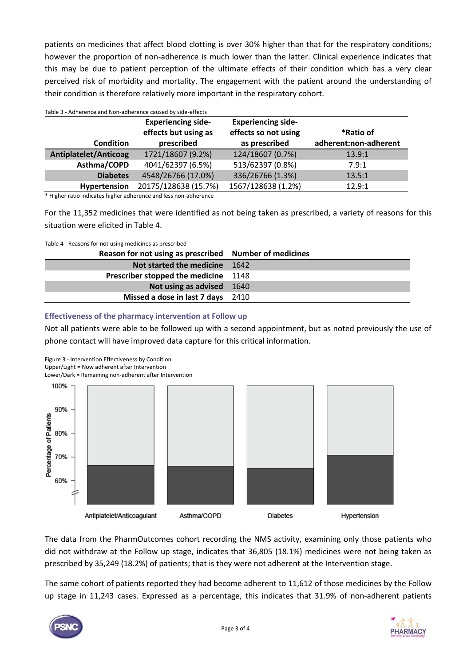patients on medicines that affect blood clotting is over 30% higher than that for the respiratory conditions; however the proportion of non-adherence is much lower than the latter. Clinical experience indicates that this may be due to patient perception of the ultimate effects of their condition which has a very clear perceived risk of morbidity and mortality. The engagement with the patient around the understanding of their condition is therefore relatively more important in the respiratory cohort.

<span id="page-2-0"></span>

| Table 3 - Adherence and Non-adherence caused by side-effects |                                                   |                                                   |                       |  |  |
|--------------------------------------------------------------|---------------------------------------------------|---------------------------------------------------|-----------------------|--|--|
|                                                              | <b>Experiencing side-</b><br>effects but using as | <b>Experiencing side-</b><br>effects so not using | *Ratio of             |  |  |
| <b>Condition</b>                                             | prescribed                                        | as prescribed                                     | adherent:non-adherent |  |  |
| <b>Antiplatelet/Anticoag</b>                                 | 1721/18607 (9.2%)                                 | 124/18607 (0.7%)                                  | 13.9:1                |  |  |
| Asthma/COPD                                                  | 4041/62397 (6.5%)                                 | 513/62397 (0.8%)                                  | 7.9:1                 |  |  |
| <b>Diabetes</b>                                              | 4548/26766 (17.0%)                                | 336/26766 (1.3%)                                  | 13.5:1                |  |  |
| Hypertension                                                 | 20175/128638 (15.7%)                              | 1567/128638 (1.2%)                                | 12.9:1                |  |  |

\* Higher ratio indicates higher adherence and less non-adherence

For the 11,352 medicines that were identified as not being taken as prescribed, a variety of reasons for this situation were elicited in Table 4.

Table 4 - Reasons for not using medicines as prescribed

| Reason for not using as prescribed Number of medicines |      |
|--------------------------------------------------------|------|
| Not started the medicine                               | 1642 |
| Prescriber stopped the medicine 1148                   |      |
| Not using as advised 1640                              |      |
| Missed a dose in last 7 days 2410                      |      |

## **Effectiveness of the pharmacy intervention at Follow up**

Not all patients were able to be followed up with a second appointment, but as noted previously the use of phone contact will have improved data capture for this critical information.

Figure 3 - Intervention Effectiveness by Condition

Upper/Light = Now adherent after Intervention

Lower/Dark = Remaining non-adherent after Intervention



The data from the PharmOutcomes cohort recording the NMS activity, examining only those patients who did not withdraw at the Follow up stage, indicates that 36,805 (18.1%) medicines were not being taken as prescribed by 35,249 (18.2%) of patients; that is they were not adherent at the Intervention stage.

The same cohort of patients reported they had become adherent to 11,612 of those medicines by the Follow up stage in 11,243 cases. Expressed as a percentage, this indicates that 31.9% of non-adherent patients